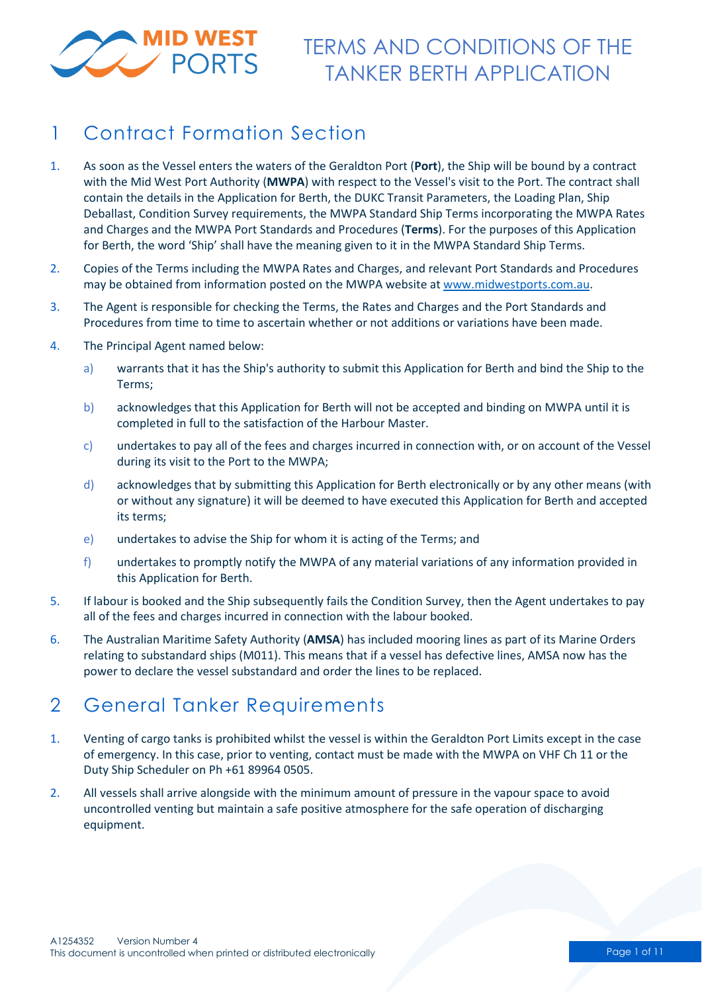

# 1 Contract Formation Section

- 1. As soon as the Vessel enters the waters of the Geraldton Port (**Port**), the Ship will be bound by a contract with the Mid West Port Authority (**MWPA**) with respect to the Vessel's visit to the Port. The contract shall contain the details in the Application for Berth, the DUKC Transit Parameters, the Loading Plan, Ship Deballast, Condition Survey requirements, the MWPA Standard Ship Terms incorporating the MWPA Rates and Charges and the MWPA Port Standards and Procedures (**Terms**). For the purposes of this Application for Berth, the word 'Ship' shall have the meaning given to it in the MWPA Standard Ship Terms.
- 2. Copies of the Terms including the MWPA Rates and Charges, and relevant Port Standards and Procedures may be obtained from information posted on the MWPA website at [www.midwestports.com.au.](http://www.midwestports.com.au/)
- 3. The Agent is responsible for checking the Terms, the Rates and Charges and the Port Standards and Procedures from time to time to ascertain whether or not additions or variations have been made.
- 4. The Principal Agent named below:
	- a) warrants that it has the Ship's authority to submit this Application for Berth and bind the Ship to the Terms;
	- b) acknowledges that this Application for Berth will not be accepted and binding on MWPA until it is completed in full to the satisfaction of the Harbour Master.
	- c) undertakes to pay all of the fees and charges incurred in connection with, or on account of the Vessel during its visit to the Port to the MWPA;
	- d) acknowledges that by submitting this Application for Berth electronically or by any other means (with or without any signature) it will be deemed to have executed this Application for Berth and accepted its terms;
	- e) undertakes to advise the Ship for whom it is acting of the Terms; and
	- f) undertakes to promptly notify the MWPA of any material variations of any information provided in this Application for Berth.
- 5. If labour is booked and the Ship subsequently fails the Condition Survey, then the Agent undertakes to pay all of the fees and charges incurred in connection with the labour booked.
- 6. The Australian Maritime Safety Authority (**AMSA**) has included mooring lines as part of its Marine Orders relating to substandard ships (M011). This means that if a vessel has defective lines, AMSA now has the power to declare the vessel substandard and order the lines to be replaced.

## 2 General Tanker Requirements

- 1. Venting of cargo tanks is prohibited whilst the vessel is within the Geraldton Port Limits except in the case of emergency. In this case, prior to venting, contact must be made with the MWPA on VHF Ch 11 or the Duty Ship Scheduler on Ph +61 89964 0505.
- 2. All vessels shall arrive alongside with the minimum amount of pressure in the vapour space to avoid uncontrolled venting but maintain a safe positive atmosphere for the safe operation of discharging equipment.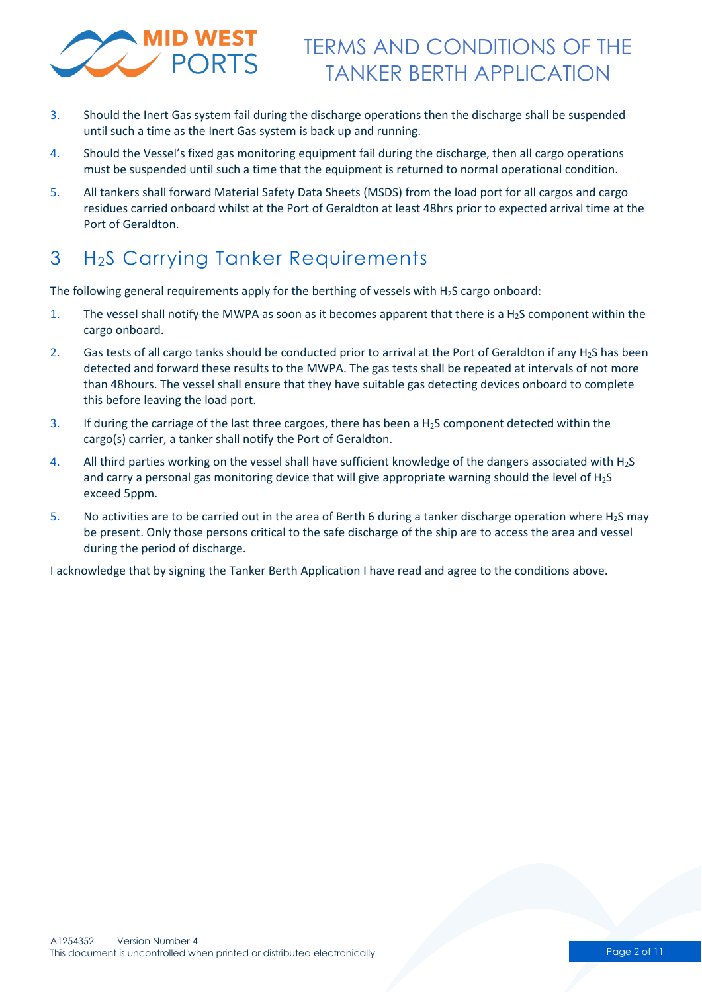

- 3. Should the Inert Gas system fail during the discharge operations then the discharge shall be suspended until such a time as the Inert Gas system is back up and running.
- 4. Should the Vessel's fixed gas monitoring equipment fail during the discharge, then all cargo operations must be suspended until such a time that the equipment is returned to normal operational condition.
- 5. All tankers shall forward Material Safety Data Sheets (MSDS) from the load port for all cargos and cargo residues carried onboard whilst at the Port of Geraldton at least 48hrs prior to expected arrival time at the Port of Geraldton.

# 3 H2S Carrying Tanker Requirements

The following general requirements apply for the berthing of vessels with  $H_2S$  cargo onboard:

- 1. The vessel shall notify the MWPA as soon as it becomes apparent that there is a  $H_2S$  component within the cargo onboard.
- 2. Gas tests of all cargo tanks should be conducted prior to arrival at the Port of Geraldton if any H<sub>2</sub>S has been detected and forward these results to the MWPA. The gas tests shall be repeated at intervals of not more than 48hours. The vessel shall ensure that they have suitable gas detecting devices onboard to complete this before leaving the load port.
- 3. If during the carriage of the last three cargoes, there has been a  $H_2S$  component detected within the cargo(s) carrier, a tanker shall notify the Port of Geraldton.
- 4. All third parties working on the vessel shall have sufficient knowledge of the dangers associated with H2S and carry a personal gas monitoring device that will give appropriate warning should the level of H<sub>2</sub>S exceed 5ppm.
- 5. No activities are to be carried out in the area of Berth 6 during a tanker discharge operation where H2S may be present. Only those persons critical to the safe discharge of the ship are to access the area and vessel during the period of discharge.

I acknowledge that by signing the Tanker Berth Application I have read and agree to the conditions above.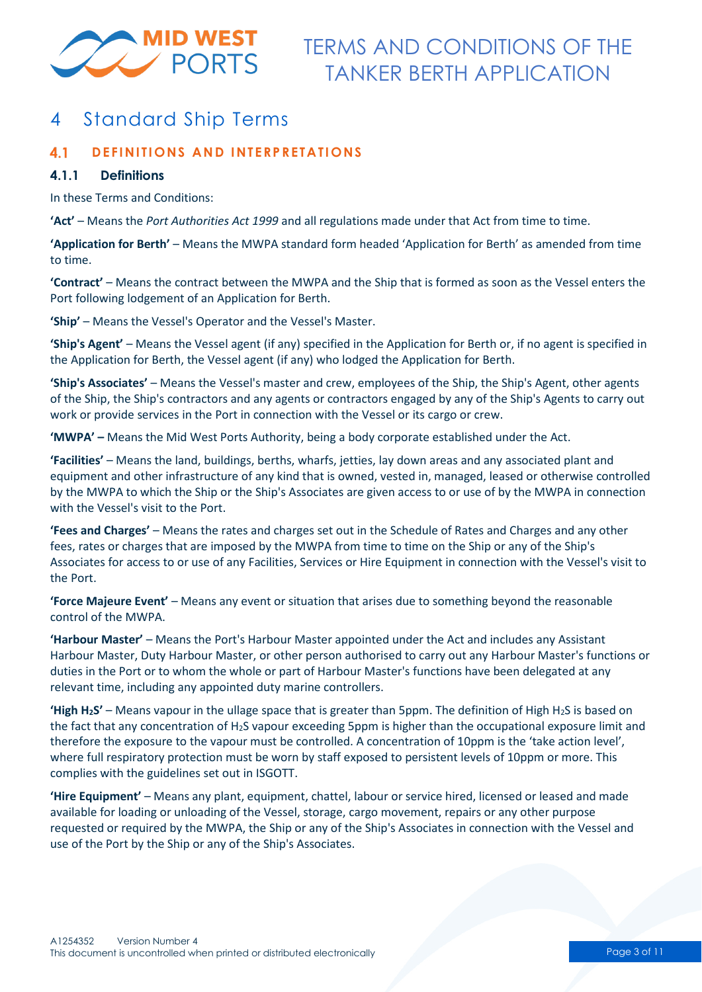

## 4 Standard Ship Terms

#### **DEFINITIONS AND INTERPRETATIONS**  $4.1$

### **4.1.1 Definitions**

In these Terms and Conditions:

**'Act'** – Means the *Port Authorities Act 1999* and all regulations made under that Act from time to time.

**'Application for Berth'** – Means the MWPA standard form headed 'Application for Berth' as amended from time to time.

**'Contract'** – Means the contract between the MWPA and the Ship that is formed as soon as the Vessel enters the Port following lodgement of an Application for Berth.

**'Ship'** – Means the Vessel's Operator and the Vessel's Master.

**'Ship's Agent'** – Means the Vessel agent (if any) specified in the Application for Berth or, if no agent is specified in the Application for Berth, the Vessel agent (if any) who lodged the Application for Berth.

**'Ship's Associates'** – Means the Vessel's master and crew, employees of the Ship, the Ship's Agent, other agents of the Ship, the Ship's contractors and any agents or contractors engaged by any of the Ship's Agents to carry out work or provide services in the Port in connection with the Vessel or its cargo or crew.

**'MWPA' –** Means the Mid West Ports Authority, being a body corporate established under the Act.

**'Facilities'** – Means the land, buildings, berths, wharfs, jetties, lay down areas and any associated plant and equipment and other infrastructure of any kind that is owned, vested in, managed, leased or otherwise controlled by the MWPA to which the Ship or the Ship's Associates are given access to or use of by the MWPA in connection with the Vessel's visit to the Port.

**'Fees and Charges'** – Means the rates and charges set out in the Schedule of Rates and Charges and any other fees, rates or charges that are imposed by the MWPA from time to time on the Ship or any of the Ship's Associates for access to or use of any Facilities, Services or Hire Equipment in connection with the Vessel's visit to the Port.

**'Force Majeure Event'** – Means any event or situation that arises due to something beyond the reasonable control of the MWPA.

**'Harbour Master'** – Means the Port's Harbour Master appointed under the Act and includes any Assistant Harbour Master, Duty Harbour Master, or other person authorised to carry out any Harbour Master's functions or duties in the Port or to whom the whole or part of Harbour Master's functions have been delegated at any relevant time, including any appointed duty marine controllers.

**'High H<sub>2</sub>S'** – Means vapour in the ullage space that is greater than 5ppm. The definition of High H<sub>2</sub>S is based on the fact that any concentration of H2S vapour exceeding 5ppm is higher than the occupational exposure limit and therefore the exposure to the vapour must be controlled. A concentration of 10ppm is the 'take action level', where full respiratory protection must be worn by staff exposed to persistent levels of 10ppm or more. This complies with the guidelines set out in ISGOTT.

**'Hire Equipment'** – Means any plant, equipment, chattel, labour or service hired, licensed or leased and made available for loading or unloading of the Vessel, storage, cargo movement, repairs or any other purpose requested or required by the MWPA, the Ship or any of the Ship's Associates in connection with the Vessel and use of the Port by the Ship or any of the Ship's Associates.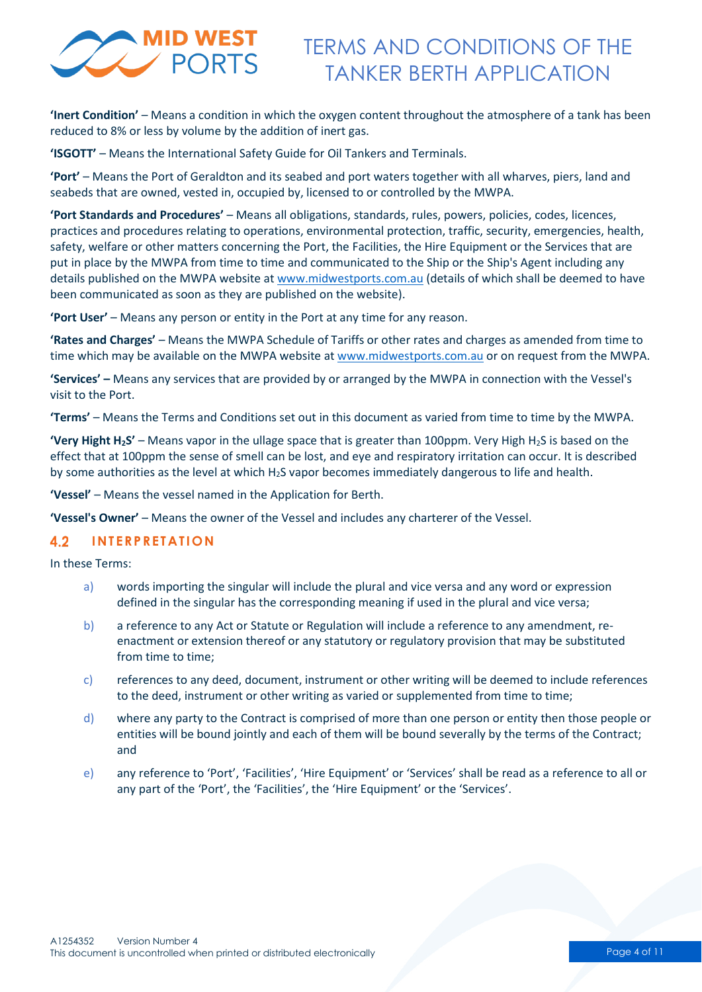

**'Inert Condition'** – Means a condition in which the oxygen content throughout the atmosphere of a tank has been reduced to 8% or less by volume by the addition of inert gas.

**'ISGOTT'** – Means the International Safety Guide for Oil Tankers and Terminals.

**'Port'** – Means the Port of Geraldton and its seabed and port waters together with all wharves, piers, land and seabeds that are owned, vested in, occupied by, licensed to or controlled by the MWPA.

**'Port Standards and Procedures'** – Means all obligations, standards, rules, powers, policies, codes, licences, practices and procedures relating to operations, environmental protection, traffic, security, emergencies, health, safety, welfare or other matters concerning the Port, the Facilities, the Hire Equipment or the Services that are put in place by the MWPA from time to time and communicated to the Ship or the Ship's Agent including any details published on the MWPA website at [www.midwestports.com.au](http://www.midwestports.com.au/) (details of which shall be deemed to have been communicated as soon as they are published on the website).

**'Port User'** – Means any person or entity in the Port at any time for any reason.

**'Rates and Charges'** – Means the MWPA Schedule of Tariffs or other rates and charges as amended from time to time which may be available on the MWPA website at [www.midwestports.com.au](http://www.midwestports.com.au/) or on request from the MWPA.

**'Services' –** Means any services that are provided by or arranged by the MWPA in connection with the Vessel's visit to the Port.

**'Terms'** – Means the Terms and Conditions set out in this document as varied from time to time by the MWPA.

**'Very Hight H2S'** – Means vapor in the ullage space that is greater than 100ppm. Very High H2S is based on the effect that at 100ppm the sense of smell can be lost, and eye and respiratory irritation can occur. It is described by some authorities as the level at which H2S vapor becomes immediately dangerous to life and health.

**'Vessel'** – Means the vessel named in the Application for Berth.

**'Vessel's Owner'** – Means the owner of the Vessel and includes any charterer of the Vessel.

#### $4.2$ **INTERPRETATION**

In these Terms:

- a) words importing the singular will include the plural and vice versa and any word or expression defined in the singular has the corresponding meaning if used in the plural and vice versa;
- b) a reference to any Act or Statute or Regulation will include a reference to any amendment, reenactment or extension thereof or any statutory or regulatory provision that may be substituted from time to time;
- c) references to any deed, document, instrument or other writing will be deemed to include references to the deed, instrument or other writing as varied or supplemented from time to time;
- d) where any party to the Contract is comprised of more than one person or entity then those people or entities will be bound jointly and each of them will be bound severally by the terms of the Contract; and
- e) any reference to 'Port', 'Facilities', 'Hire Equipment' or 'Services' shall be read as a reference to all or any part of the 'Port', the 'Facilities', the 'Hire Equipment' or the 'Services'.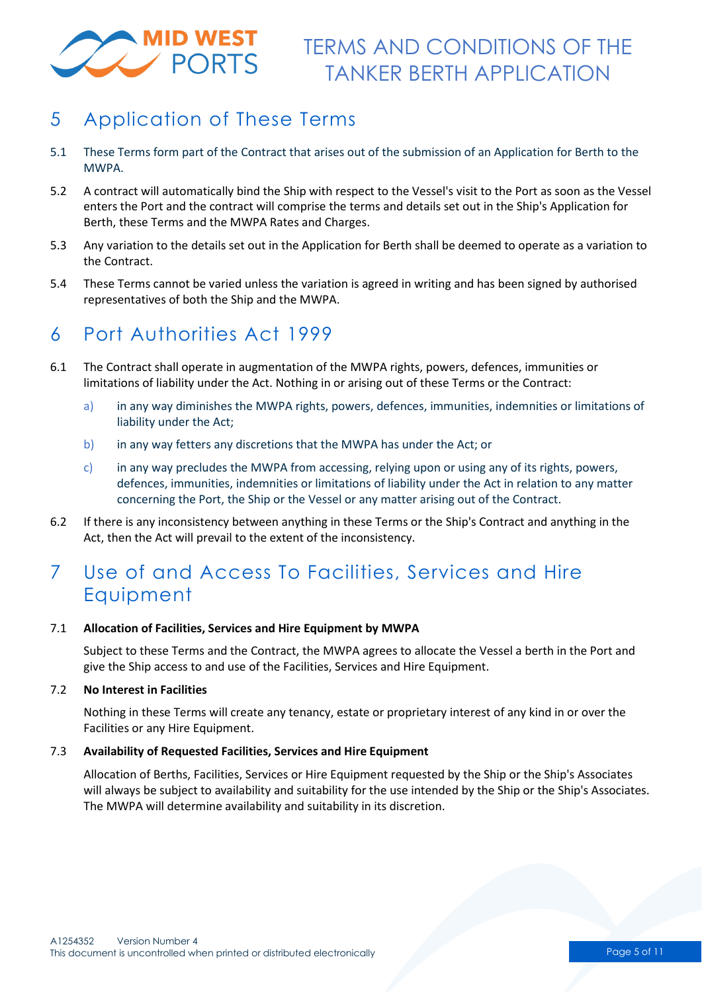

# 5 Application of These Terms

- 5.1 These Terms form part of the Contract that arises out of the submission of an Application for Berth to the MWPA.
- 5.2 A contract will automatically bind the Ship with respect to the Vessel's visit to the Port as soon as the Vessel enters the Port and the contract will comprise the terms and details set out in the Ship's Application for Berth, these Terms and the MWPA Rates and Charges.
- 5.3 Any variation to the details set out in the Application for Berth shall be deemed to operate as a variation to the Contract.
- 5.4 These Terms cannot be varied unless the variation is agreed in writing and has been signed by authorised representatives of both the Ship and the MWPA.

### 6 Port Authorities Act 1999

- 6.1 The Contract shall operate in augmentation of the MWPA rights, powers, defences, immunities or limitations of liability under the Act. Nothing in or arising out of these Terms or the Contract:
	- a) in any way diminishes the MWPA rights, powers, defences, immunities, indemnities or limitations of liability under the Act;
	- b) in any way fetters any discretions that the MWPA has under the Act; or
	- c) in any way precludes the MWPA from accessing, relying upon or using any of its rights, powers, defences, immunities, indemnities or limitations of liability under the Act in relation to any matter concerning the Port, the Ship or the Vessel or any matter arising out of the Contract.
- 6.2 If there is any inconsistency between anything in these Terms or the Ship's Contract and anything in the Act, then the Act will prevail to the extent of the inconsistency.

# 7 Use of and Access To Facilities, Services and Hire Equipment

#### 7.1 **Allocation of Facilities, Services and Hire Equipment by MWPA**

Subject to these Terms and the Contract, the MWPA agrees to allocate the Vessel a berth in the Port and give the Ship access to and use of the Facilities, Services and Hire Equipment.

### 7.2 **No Interest in Facilities**

Nothing in these Terms will create any tenancy, estate or proprietary interest of any kind in or over the Facilities or any Hire Equipment.

#### 7.3 **Availability of Requested Facilities, Services and Hire Equipment**

Allocation of Berths, Facilities, Services or Hire Equipment requested by the Ship or the Ship's Associates will always be subject to availability and suitability for the use intended by the Ship or the Ship's Associates. The MWPA will determine availability and suitability in its discretion.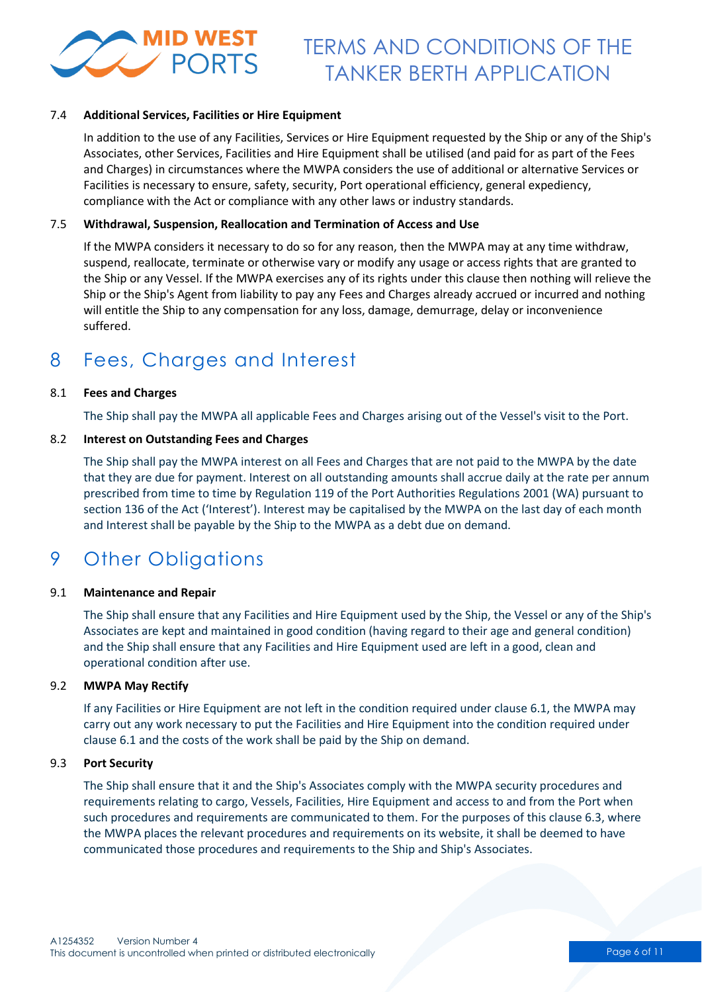

#### 7.4 **Additional Services, Facilities or Hire Equipment**

In addition to the use of any Facilities, Services or Hire Equipment requested by the Ship or any of the Ship's Associates, other Services, Facilities and Hire Equipment shall be utilised (and paid for as part of the Fees and Charges) in circumstances where the MWPA considers the use of additional or alternative Services or Facilities is necessary to ensure, safety, security, Port operational efficiency, general expediency, compliance with the Act or compliance with any other laws or industry standards.

#### 7.5 **Withdrawal, Suspension, Reallocation and Termination of Access and Use**

If the MWPA considers it necessary to do so for any reason, then the MWPA may at any time withdraw, suspend, reallocate, terminate or otherwise vary or modify any usage or access rights that are granted to the Ship or any Vessel. If the MWPA exercises any of its rights under this clause then nothing will relieve the Ship or the Ship's Agent from liability to pay any Fees and Charges already accrued or incurred and nothing will entitle the Ship to any compensation for any loss, damage, demurrage, delay or inconvenience suffered.

### 8 Fees, Charges and Interest

#### 8.1 **Fees and Charges**

The Ship shall pay the MWPA all applicable Fees and Charges arising out of the Vessel's visit to the Port.

#### 8.2 **Interest on Outstanding Fees and Charges**

The Ship shall pay the MWPA interest on all Fees and Charges that are not paid to the MWPA by the date that they are due for payment. Interest on all outstanding amounts shall accrue daily at the rate per annum prescribed from time to time by Regulation 119 of the Port Authorities Regulations 2001 (WA) pursuant to section 136 of the Act ('Interest'). Interest may be capitalised by the MWPA on the last day of each month and Interest shall be payable by the Ship to the MWPA as a debt due on demand.

## 9 Other Obligations

#### 9.1 **Maintenance and Repair**

The Ship shall ensure that any Facilities and Hire Equipment used by the Ship, the Vessel or any of the Ship's Associates are kept and maintained in good condition (having regard to their age and general condition) and the Ship shall ensure that any Facilities and Hire Equipment used are left in a good, clean and operational condition after use.

#### 9.2 **MWPA May Rectify**

If any Facilities or Hire Equipment are not left in the condition required under clause 6.1, the MWPA may carry out any work necessary to put the Facilities and Hire Equipment into the condition required under clause 6.1 and the costs of the work shall be paid by the Ship on demand.

#### 9.3 **Port Security**

The Ship shall ensure that it and the Ship's Associates comply with the MWPA security procedures and requirements relating to cargo, Vessels, Facilities, Hire Equipment and access to and from the Port when such procedures and requirements are communicated to them. For the purposes of this clause 6.3, where the MWPA places the relevant procedures and requirements on its website, it shall be deemed to have communicated those procedures and requirements to the Ship and Ship's Associates.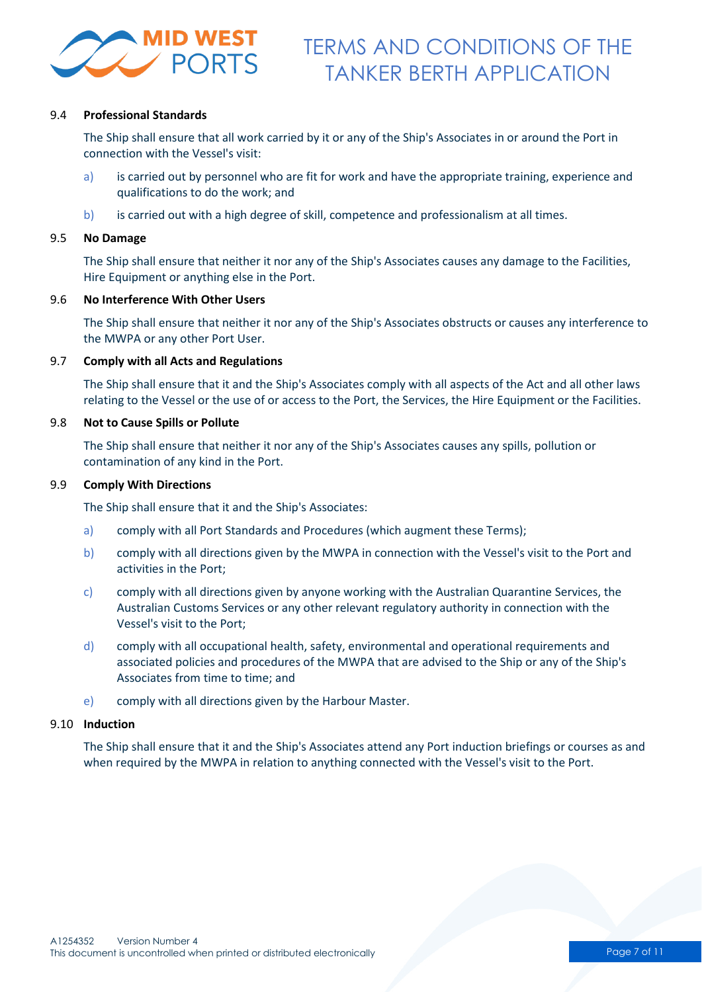

#### 9.4 **Professional Standards**

The Ship shall ensure that all work carried by it or any of the Ship's Associates in or around the Port in connection with the Vessel's visit:

- a) is carried out by personnel who are fit for work and have the appropriate training, experience and qualifications to do the work; and
- b) is carried out with a high degree of skill, competence and professionalism at all times.

#### 9.5 **No Damage**

The Ship shall ensure that neither it nor any of the Ship's Associates causes any damage to the Facilities, Hire Equipment or anything else in the Port.

#### 9.6 **No Interference With Other Users**

The Ship shall ensure that neither it nor any of the Ship's Associates obstructs or causes any interference to the MWPA or any other Port User.

#### 9.7 **Comply with all Acts and Regulations**

The Ship shall ensure that it and the Ship's Associates comply with all aspects of the Act and all other laws relating to the Vessel or the use of or access to the Port, the Services, the Hire Equipment or the Facilities.

#### 9.8 **Not to Cause Spills or Pollute**

The Ship shall ensure that neither it nor any of the Ship's Associates causes any spills, pollution or contamination of any kind in the Port.

#### 9.9 **Comply With Directions**

The Ship shall ensure that it and the Ship's Associates:

- a) comply with all Port Standards and Procedures (which augment these Terms);
- b) comply with all directions given by the MWPA in connection with the Vessel's visit to the Port and activities in the Port;
- c) comply with all directions given by anyone working with the Australian Quarantine Services, the Australian Customs Services or any other relevant regulatory authority in connection with the Vessel's visit to the Port;
- d) comply with all occupational health, safety, environmental and operational requirements and associated policies and procedures of the MWPA that are advised to the Ship or any of the Ship's Associates from time to time; and
- e) comply with all directions given by the Harbour Master.

#### 9.10 **Induction**

The Ship shall ensure that it and the Ship's Associates attend any Port induction briefings or courses as and when required by the MWPA in relation to anything connected with the Vessel's visit to the Port.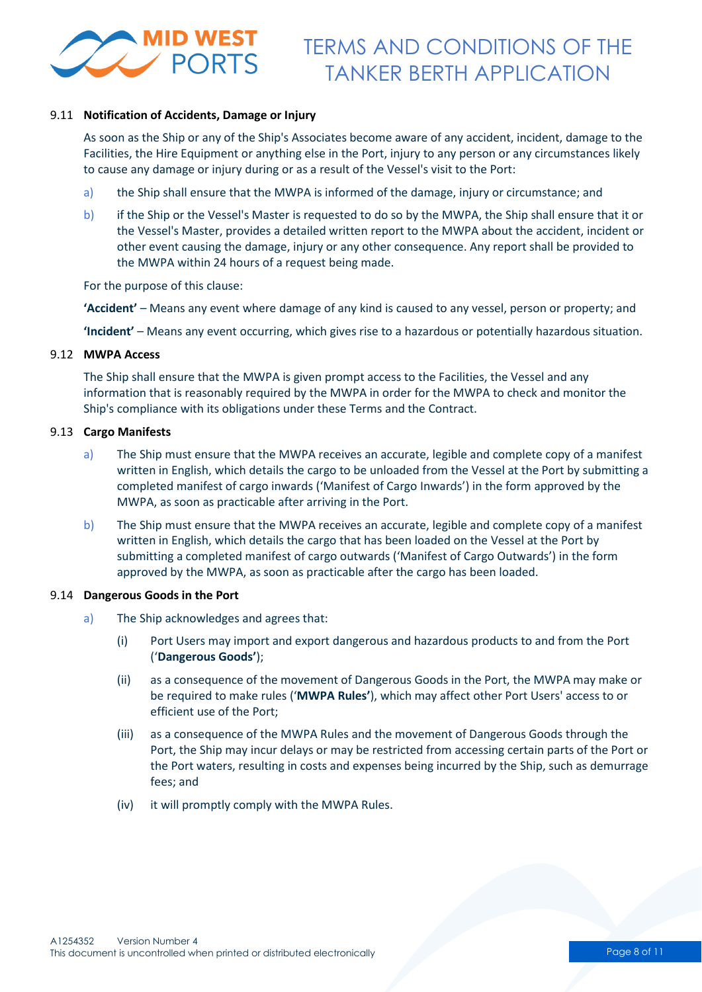

#### 9.11 **Notification of Accidents, Damage or Injury**

As soon as the Ship or any of the Ship's Associates become aware of any accident, incident, damage to the Facilities, the Hire Equipment or anything else in the Port, injury to any person or any circumstances likely to cause any damage or injury during or as a result of the Vessel's visit to the Port:

- a) the Ship shall ensure that the MWPA is informed of the damage, injury or circumstance; and
- b) if the Ship or the Vessel's Master is requested to do so by the MWPA, the Ship shall ensure that it or the Vessel's Master, provides a detailed written report to the MWPA about the accident, incident or other event causing the damage, injury or any other consequence. Any report shall be provided to the MWPA within 24 hours of a request being made.

For the purpose of this clause:

**'Accident'** – Means any event where damage of any kind is caused to any vessel, person or property; and

**'Incident'** – Means any event occurring, which gives rise to a hazardous or potentially hazardous situation.

#### 9.12 **MWPA Access**

The Ship shall ensure that the MWPA is given prompt access to the Facilities, the Vessel and any information that is reasonably required by the MWPA in order for the MWPA to check and monitor the Ship's compliance with its obligations under these Terms and the Contract.

#### 9.13 **Cargo Manifests**

- a) The Ship must ensure that the MWPA receives an accurate, legible and complete copy of a manifest written in English, which details the cargo to be unloaded from the Vessel at the Port by submitting a completed manifest of cargo inwards ('Manifest of Cargo Inwards') in the form approved by the MWPA, as soon as practicable after arriving in the Port.
- b) The Ship must ensure that the MWPA receives an accurate, legible and complete copy of a manifest written in English, which details the cargo that has been loaded on the Vessel at the Port by submitting a completed manifest of cargo outwards ('Manifest of Cargo Outwards') in the form approved by the MWPA, as soon as practicable after the cargo has been loaded.

#### 9.14 **Dangerous Goods in the Port**

- a) The Ship acknowledges and agrees that:
	- (i) Port Users may import and export dangerous and hazardous products to and from the Port ('**Dangerous Goods'**);
	- (ii) as a consequence of the movement of Dangerous Goods in the Port, the MWPA may make or be required to make rules ('**MWPA Rules'**), which may affect other Port Users' access to or efficient use of the Port;
	- (iii) as a consequence of the MWPA Rules and the movement of Dangerous Goods through the Port, the Ship may incur delays or may be restricted from accessing certain parts of the Port or the Port waters, resulting in costs and expenses being incurred by the Ship, such as demurrage fees; and
	- (iv) it will promptly comply with the MWPA Rules.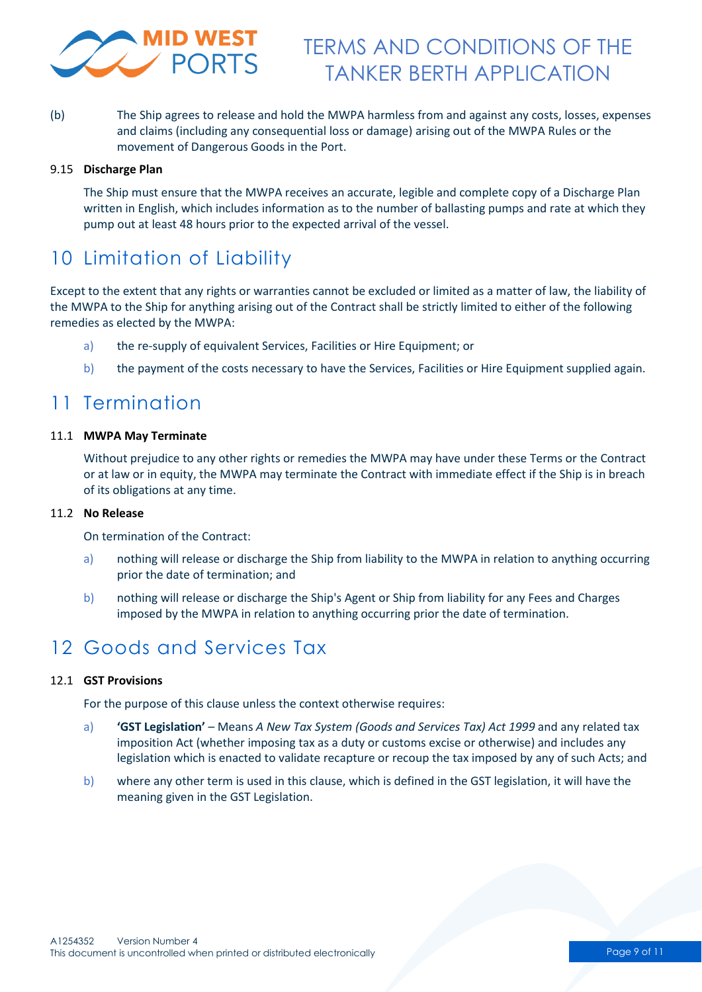

(b) The Ship agrees to release and hold the MWPA harmless from and against any costs, losses, expenses and claims (including any consequential loss or damage) arising out of the MWPA Rules or the movement of Dangerous Goods in the Port.

#### 9.15 **Discharge Plan**

The Ship must ensure that the MWPA receives an accurate, legible and complete copy of a Discharge Plan written in English, which includes information as to the number of ballasting pumps and rate at which they pump out at least 48 hours prior to the expected arrival of the vessel.

# 10 Limitation of Liability

Except to the extent that any rights or warranties cannot be excluded or limited as a matter of law, the liability of the MWPA to the Ship for anything arising out of the Contract shall be strictly limited to either of the following remedies as elected by the MWPA:

- a) the re-supply of equivalent Services, Facilities or Hire Equipment; or
- b) the payment of the costs necessary to have the Services, Facilities or Hire Equipment supplied again.

### 11 Termination

#### 11.1 **MWPA May Terminate**

Without prejudice to any other rights or remedies the MWPA may have under these Terms or the Contract or at law or in equity, the MWPA may terminate the Contract with immediate effect if the Ship is in breach of its obligations at any time.

#### 11.2 **No Release**

On termination of the Contract:

- a) nothing will release or discharge the Ship from liability to the MWPA in relation to anything occurring prior the date of termination; and
- b) nothing will release or discharge the Ship's Agent or Ship from liability for any Fees and Charges imposed by the MWPA in relation to anything occurring prior the date of termination.

### 12 Goods and Services Tax

#### 12.1 **GST Provisions**

For the purpose of this clause unless the context otherwise requires:

- a) **'GST Legislation'** Means *A New Tax System (Goods and Services Tax) Act 1999* and any related tax imposition Act (whether imposing tax as a duty or customs excise or otherwise) and includes any legislation which is enacted to validate recapture or recoup the tax imposed by any of such Acts; and
- b) where any other term is used in this clause, which is defined in the GST legislation, it will have the meaning given in the GST Legislation.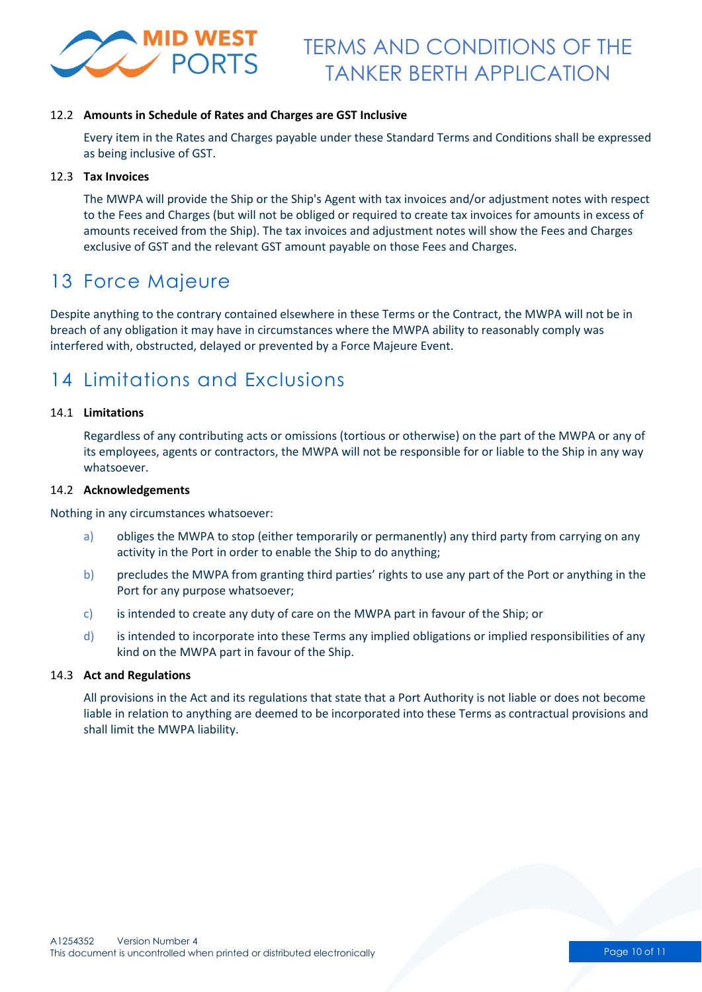

#### 12.2 **Amounts in Schedule of Rates and Charges are GST Inclusive**

Every item in the Rates and Charges payable under these Standard Terms and Conditions shall be expressed as being inclusive of GST.

#### 12.3 **Tax Invoices**

The MWPA will provide the Ship or the Ship's Agent with tax invoices and/or adjustment notes with respect to the Fees and Charges (but will not be obliged or required to create tax invoices for amounts in excess of amounts received from the Ship). The tax invoices and adjustment notes will show the Fees and Charges exclusive of GST and the relevant GST amount payable on those Fees and Charges.

### 13 Force Majeure

Despite anything to the contrary contained elsewhere in these Terms or the Contract, the MWPA will not be in breach of any obligation it may have in circumstances where the MWPA ability to reasonably comply was interfered with, obstructed, delayed or prevented by a Force Majeure Event.

### 14 Limitations and Exclusions

#### 14.1 **Limitations**

Regardless of any contributing acts or omissions (tortious or otherwise) on the part of the MWPA or any of its employees, agents or contractors, the MWPA will not be responsible for or liable to the Ship in any way whatsoever.

#### 14.2 **Acknowledgements**

Nothing in any circumstances whatsoever:

- a) obliges the MWPA to stop (either temporarily or permanently) any third party from carrying on any activity in the Port in order to enable the Ship to do anything;
- b) precludes the MWPA from granting third parties' rights to use any part of the Port or anything in the Port for any purpose whatsoever;
- c) is intended to create any duty of care on the MWPA part in favour of the Ship; or
- d) is intended to incorporate into these Terms any implied obligations or implied responsibilities of any kind on the MWPA part in favour of the Ship.

#### 14.3 **Act and Regulations**

All provisions in the Act and its regulations that state that a Port Authority is not liable or does not become liable in relation to anything are deemed to be incorporated into these Terms as contractual provisions and shall limit the MWPA liability.